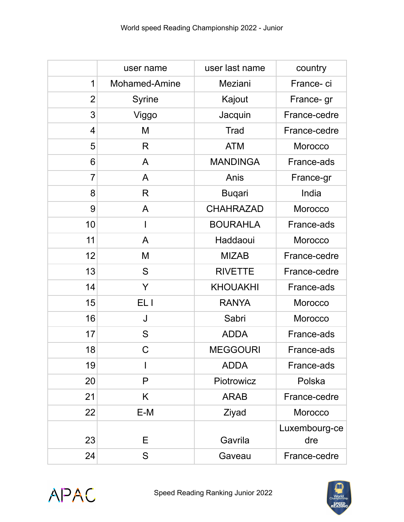|                | user name     | user last name   | country              |
|----------------|---------------|------------------|----------------------|
| 1              | Mohamed-Amine | Meziani          | France-ci            |
| $\overline{2}$ | Syrine        | Kajout           | France- gr           |
| 3              | Viggo         | Jacquin          | France-cedre         |
| $\overline{4}$ | M             | <b>Trad</b>      | France-cedre         |
| 5              | R             | <b>ATM</b>       | Morocco              |
| 6              | A             | <b>MANDINGA</b>  | France-ads           |
| $\overline{7}$ | A             | Anis             | France-gr            |
| 8              | R             | <b>Buqari</b>    | India                |
| 9              | A             | <b>CHAHRAZAD</b> | Morocco              |
| 10             | $\mathsf{l}$  | <b>BOURAHLA</b>  | France-ads           |
| 11             | A             | Haddaoui         | Morocco              |
| 12             | M             | <b>MIZAB</b>     | France-cedre         |
| 13             | S             | <b>RIVETTE</b>   | France-cedre         |
| 14             | Y             | <b>KHOUAKHI</b>  | France-ads           |
| 15             | EL I          | <b>RANYA</b>     | Morocco              |
| 16             | J             | Sabri            | Morocco              |
| 17             | S             | <b>ADDA</b>      | France-ads           |
| 18             | C             | <b>MEGGOURI</b>  | France-ads           |
| 19             | I             | <b>ADDA</b>      | France-ads           |
| 20             | P             | Piotrowicz       | Polska               |
| 21             | K             | <b>ARAB</b>      | France-cedre         |
| 22             | E-M           | Ziyad            | Morocco              |
| 23             | Е             | Gavrila          | Luxembourg-ce<br>dre |
| 24             | S             | Gaveau           | France-cedre         |



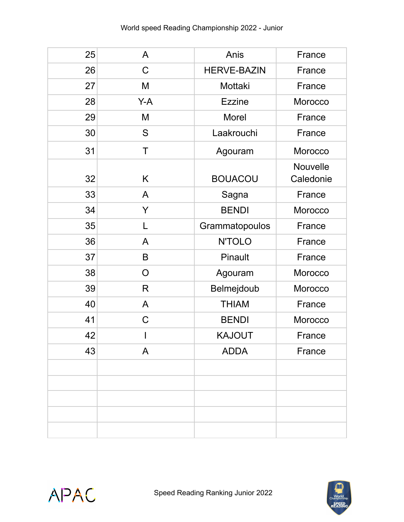| 25 | A           | Anis               | France                |
|----|-------------|--------------------|-----------------------|
| 26 | $\mathsf C$ | <b>HERVE-BAZIN</b> | France                |
| 27 | M           | Mottaki            | France                |
| 28 | Y-A         | <b>Ezzine</b>      | Morocco               |
| 29 | M           | Morel              | France                |
| 30 | S           | Laakrouchi         | France                |
| 31 | T           | Agouram            | Morocco               |
| 32 | Κ           | <b>BOUACOU</b>     | Nouvelle<br>Caledonie |
| 33 | A           | Sagna              | France                |
| 34 | Y           | <b>BENDI</b>       | Morocco               |
| 35 | L           | Grammatopoulos     | France                |
| 36 | A           | <b>N'TOLO</b>      | France                |
| 37 | B           | Pinault            | France                |
| 38 | O           | Agouram            | Morocco               |
| 39 | R           | Belmejdoub         | Morocco               |
| 40 | A           | <b>THIAM</b>       | France                |
| 41 | $\mathsf C$ | <b>BENDI</b>       | Morocco               |
| 42 |             | <b>KAJOUT</b>      | France                |
| 43 | A           | <b>ADDA</b>        | France                |
|    |             |                    |                       |
|    |             |                    |                       |
|    |             |                    |                       |
|    |             |                    |                       |
|    |             |                    |                       |